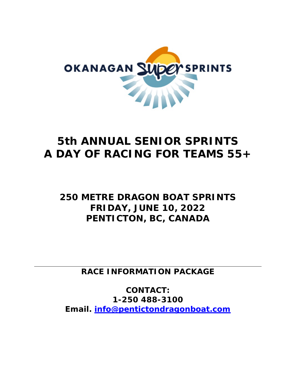

# *5th ANNUAL SENIOR SPRINTS A DAY OF RACING FOR TEAMS 55+*

## *250 METRE DRAGON BOAT SPRINTS* **FRIDAY, JUNE 10, 2022 PENTICTON, BC, CANADA**

**RACE INFORMATION PACKAGE**

**CONTACT: 1-250 488-3100 Email. [info@pentictondragonboat.com](mailto:info@pentictondragonboat.com)**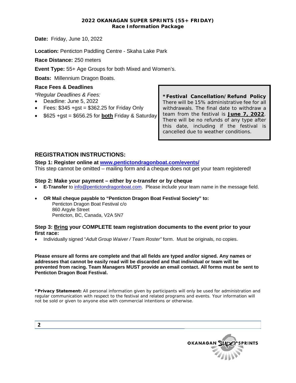#### **2022 OKANAGAN SUPER SPRINTS (55+ FRIDAY) Race Information Package**

**Date:** Friday, June 10, 2022

**Location:** Penticton Paddling Centre - Skaha Lake Park

**Race Distance:** 250 meters

**Event Type:** 55+ Age Groups for both Mixed and Women's.

**Boats:** Millennium Dragon Boats.

#### **Race Fees & Deadlines**

- *\*Regular Deadlines & Fees:*
- Deadline: June 5, 2022
- Fees:  $$345 + gst = $362.25$  for Friday Only
- \$625 +gst = \$656.25 for **both** Friday & Saturday

**\*Festival Cancellation/Refund Policy**  There will be 15% administrative fee for all withdrawals. The final date to withdraw a team from the festival is **June 7, 2022**. There will be no refunds of any type after this date, including if the festival is cancelled due to weather conditions.

### **REGISTRATION INSTRUCTIONS:**

**Step 1: Register online at [www.pentictondragonboat.com/events/](http://www.pentictondragonboat.com/events/)** This step cannot be omitted – mailing form and a cheque does not get your team registered!

#### **Step 2: Make your payment – either by e-transfer or by cheque**

- **E-Transfer** to [info@pentictondragonboat.com.](mailto:info@pentictondragonboat.com) Please include your team name in the message field.
- **OR Mail cheque payable to "Penticton Dragon Boat Festival Society" to:** Penticton Dragon Boat Festival c/o 860 Argyle Street Penticton, BC, Canada, V2A 5N7

#### **Step 3: Bring your COMPLETE team registration documents to the event prior to your first race:**

• Individually signed "*Adult Group Waiver / Team Roster"* form. Must be originals, no copies.

**Please ensure all forms are complete and that all fields are typed and/or signed. Any names or addresses that cannot be easily read will be discarded and that individual or team will be prevented from racing. Team Managers MUST provide an email contact. All forms must be sent to Penticton Dragon Boat Festival.** 

**\*Privacy Statement:** All personal information given by participants will only be used for administration and regular communication with respect to the festival and related programs and events. Your information will not be sold or given to anyone else with commercial intentions or otherwise.

| OKANAGAN SUDEY SPRINTS |
|------------------------|